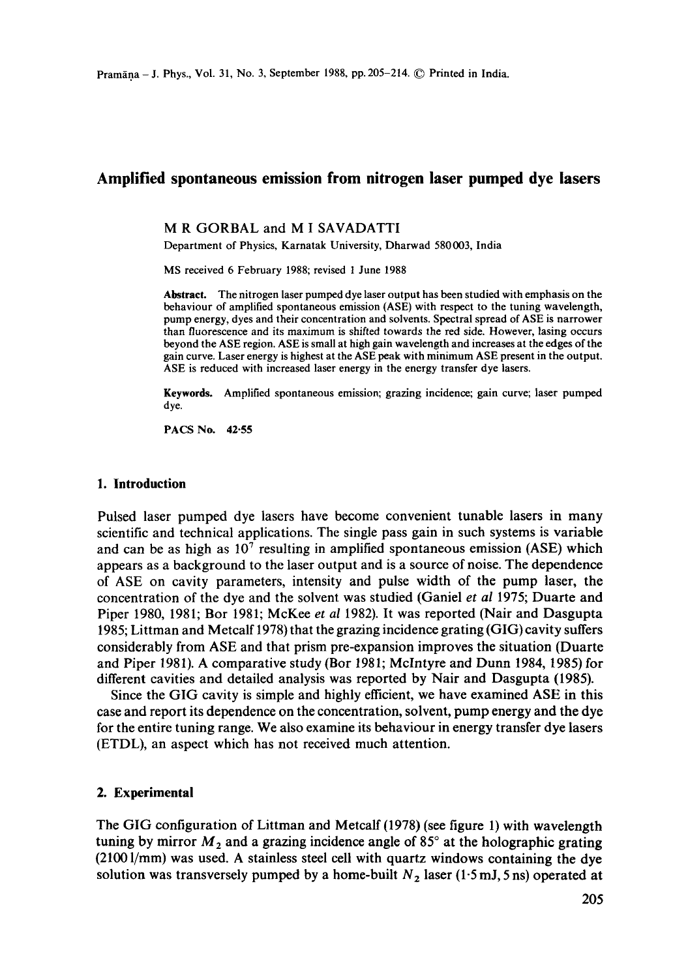# **Amplified spontaneous emission from nitrogen laser pumped dye lasers**

#### **M R** GORBAL and **M I** SAVADATTI

Department of Physics, Karnatak University, Dharwad 580003, India

MS received 6 February 1988; revised 1 June 1988

**Abstract.** The nitrogen laser pumped dye laser output has been studied with emphasis on the behaviour of amplified spontaneous emission (ASE) with respect to the tuning wavelength, pump energy, dyes and their concentration and solvents. Spectral spread of ASE is narrower than fluorescence and its maximum is shifted towards the red side. However, lasing occurs beyond the ASE region. ASE is small at high gain wavelength and increases at the edges of **the**  gain curve. Laser energy is highest at the ASE peak with minimum ASE present in the output. ASE is reduced with increased laser energy in the energy transfer dye lasers.

**Keywords.** Amplified spontaneous emission; grazing incidence; gain curve; laser pumped dye.

PACS No. **42.55** 

## **1. Introduction**

Pulsed laser pumped dye lasers have become convenient tunable lasers in many scientific and technical applications. The single pass gain in such systems is variable and can be as high as  $10^7$  resulting in amplified spontaneous emission (ASE) which appears as a background to the laser output and is a source of noise. The dependence of ASE on cavity parameters, intensity and pulse width of the pump laser, the concentration of the dye and the solvent was studied (Ganiel *et al* 1975; Duarte and Piper 1980, 1981; Bor 1981; McKee *et al* 1982). It was reported (Nair and Dasgupta 1985; Littman and Metcalf 1978) that the grazing incidence grating (GIG) cavity suffers considerably from ASE and that prism pre-expansion improves the situation (Duarte and Piper 1981). A comparative study (Bor 1981; Mclntyre and Dunn 1984, 1985) for different cavities and detailed analysis was reported by Nair and Dasgupta (1985).

Since the GIG cavity is simple and highly efficient, we have examined ASE in this case and report its dependence on the concentration, solvent, pump energy and the dye for the entire tuning range. We also examine its behaviour in energy transfer dye lasers (ETDL), an aspect which has not received much attention.

#### **2. Experimental**

The GIG configuration of Littman and Metcalf (1978) (see figure 1) with wavelength tuning by mirror  $M_2$  and a grazing incidence angle of 85 $\degree$  at the holographic grating (2100 l/mm) was used. A stainless steel cell with quartz windows containing the dye solution was transversely pumped by a home-built  $N<sub>2</sub>$  laser (1.5 mJ, 5 ns) operated at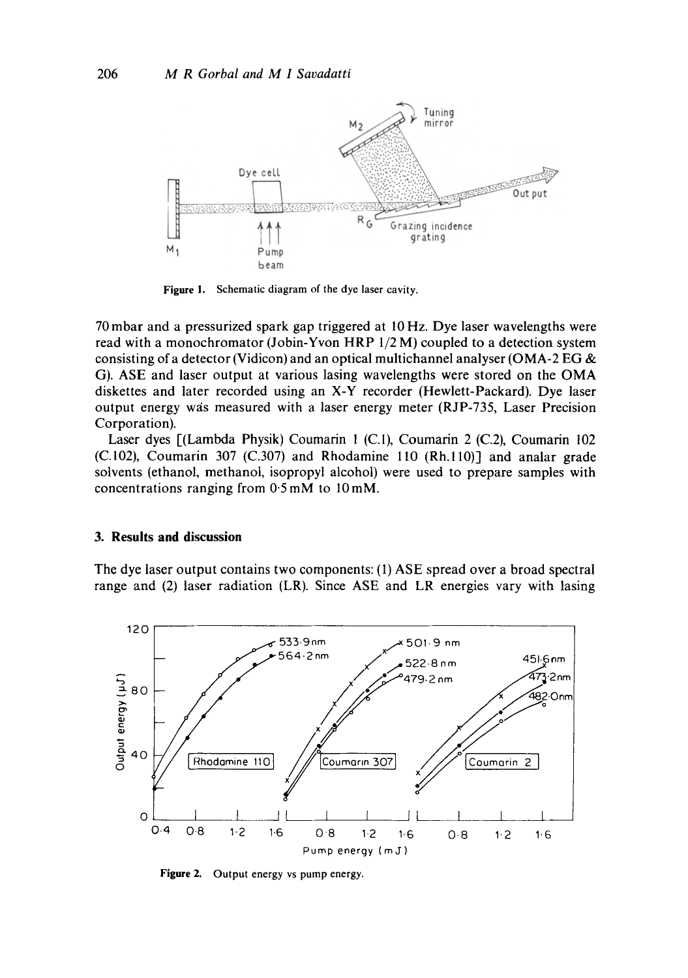

Figure 1. Schematic diagram of the dye laser cavity.

70 mbar and a pressurized spark gap triggered at 10 Hz. Dye laser wavelengths were read with a monochromator (Jobin-Yvon HRP  $1/2$  M) coupled to a detection system consisting of a detector (Vidicon) and an optical multichannel analyser (OMA-2 EG  $\&$ G). ASE and laser output at various lasing wavelengths were stored on the OMA diskettes and later recorded using an X-Y recorder (Hewlett-Packard). Dye laser output energy was measured with a laser energy meter (RJP-735, Laser Precision Corporation).

Laser dyes [(Lambda Physik) Coumarin 1 (C.1), Coumarin 2 (C.2), Coumarin 102  $(C.102)$ , Coumarin 307  $(C.307)$  and Rhodamine 110  $(Rh.110)$ ] and analar grade solvents (ethanol, methanol, isopropyl alcohol) were used to prepare samples with concentrations ranging from  $0.5$  mM to  $10$  mM.

## 3. Results and discussion

The dye laser output contains two components: (1) ASE spread over a broad spectral range and (2) laser radiation (LR). Since ASE and LR energies vary with lasing



Figure 2. Output energy vs pump energy.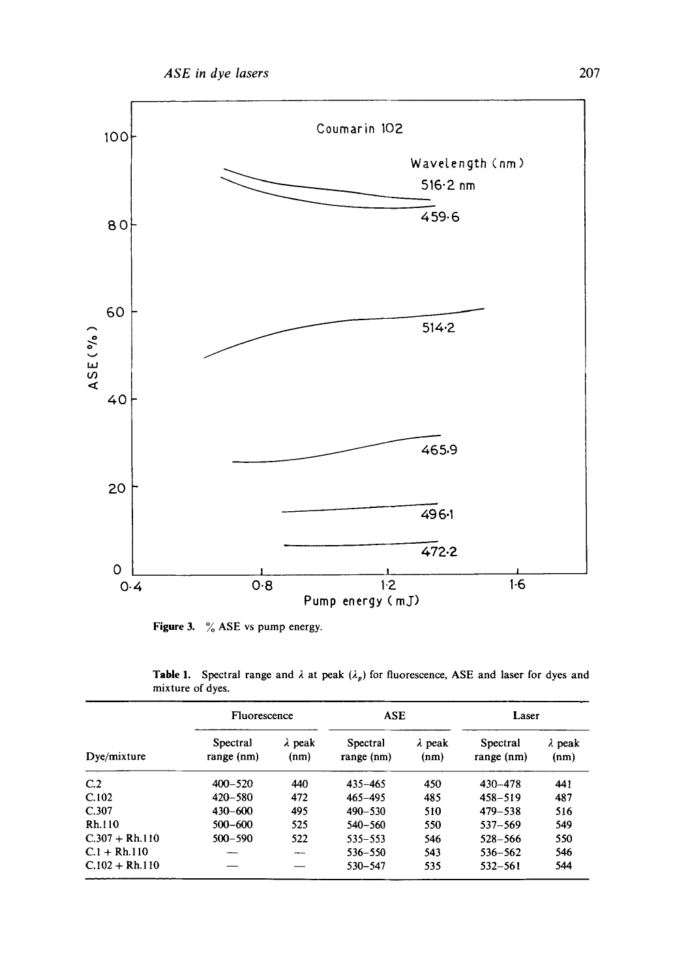

**Figure 3.**  % ASE vs pump energy.

|                  |  |  |  | <b>Table 1.</b> Spectral range and $\lambda$ at peak $(\lambda_p)$ for fluorescence, ASE and laser for dyes and |  |  |  |
|------------------|--|--|--|-----------------------------------------------------------------------------------------------------------------|--|--|--|
| mixture of dyes. |  |  |  |                                                                                                                 |  |  |  |

|                  | Fluorescence           |                        | <b>ASE</b>             |                        | Laser                  |                        |  |
|------------------|------------------------|------------------------|------------------------|------------------------|------------------------|------------------------|--|
| Dye/mixture      | Spectral<br>range (nm) | $\lambda$ peak<br>(nm) | Spectral<br>range (nm) | $\lambda$ peak<br>(nm) | Spectral<br>range (nm) | $\lambda$ peak<br>(nm) |  |
| C <sub>2</sub>   | $400 - 520$            | 440                    | $435 - 465$            | 450                    | 430-478                | 441                    |  |
| C.102            | $420 - 580$            | 472                    | $465 - 495$            | 485                    | $458 - 519$            | 487                    |  |
| C.307            | $430 - 600$            | 495                    | $490 - 530$            | 510                    | $479 - 538$            | 516                    |  |
| Rh.110           | $500 - 600$            | 525                    | $540 - 560$            | 550                    | $537 - 569$            | 549                    |  |
| $C.307 + Rh.110$ | $500 - 590$            | 522                    | $535 - 553$            | 546                    | $528 - 566$            | 550                    |  |
| $C.1 + Rh.110$   |                        | ---                    | 536-550                | 543                    | 536-562                | 546                    |  |
| $C.102 + Rh.110$ |                        |                        | 530-547                | 535                    | 532-561                | 544                    |  |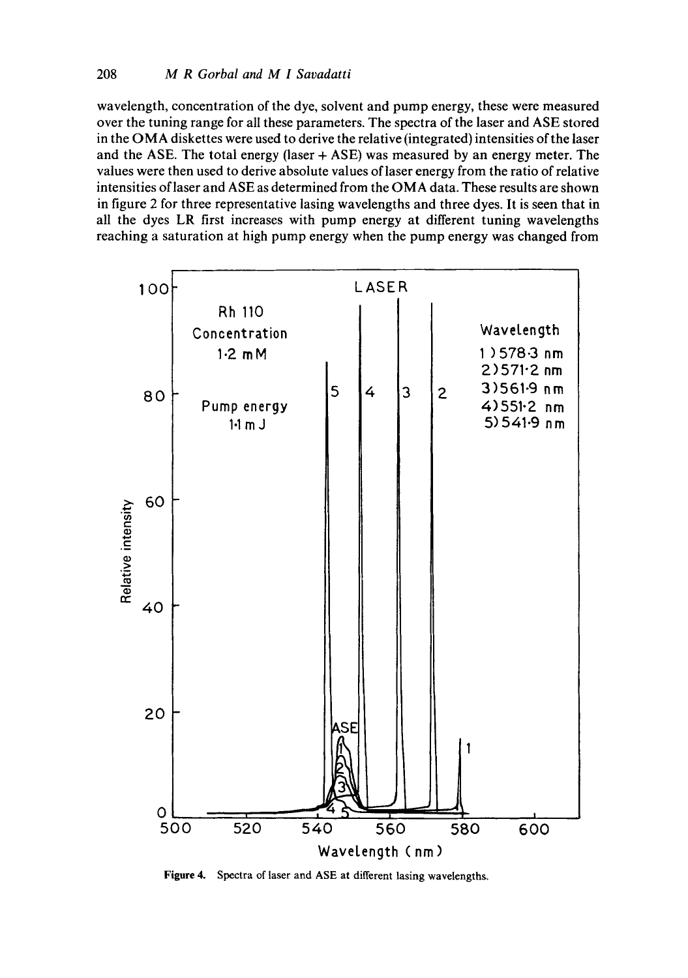wavelength, concentration of the dye, solvent and pump energy, these were measured over the tuning range for all these parameters. The spectra of the laser and ASE stored in the OMA diskettes were used to derive the relative (integrated) intensities of the laser and the ASE. The total energy (laser  $+$  ASE) was measured by an energy meter. The values were then used to derive absolute values of laser energy from the ratio of relative intensities of laser and ASE as determined from the OMA data. These results are shown in figure 2 for three representative lasing wavelengths and three dyes. It is seen that in all the dyes LR first increases with pump energy at different tuning wavelengths reaching a saturation at high pump energy when the pump energy was changed from



**Figure** 4. Spectra of laser and ASE at different lasing wavelengths.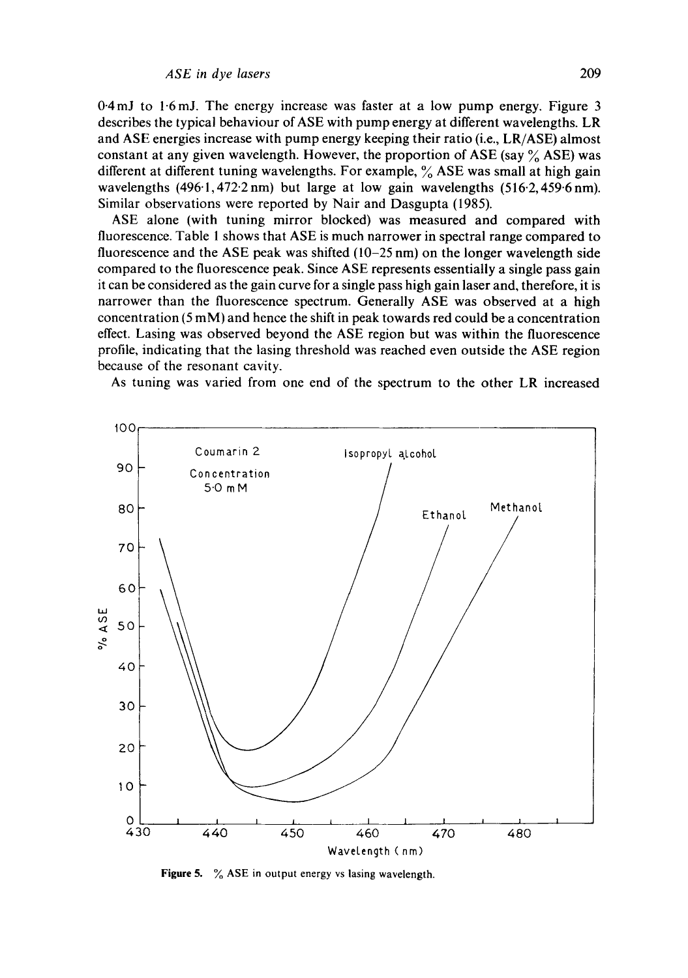$0.4$  mJ to  $1.6$  mJ. The energy increase was faster at a low pump energy. Figure 3 describes the typical behaviour of ASE with pump energy at different wavelengths. LR and ASE energies increase with pump energy keeping their ratio (i.e., LR/ASE) almost constant at any given wavelength. However, the proportion of ASE (say  $\%$  ASE) was different at different tuning wavelengths. For example,  $\%$  ASE was small at high gain wavelengths (496.1,472.2 nm) but large at low gain wavelengths (516.2,459.6 nm). Similar observations were reported by Nair and Dasgupta (1985).

ASE alone (with tuning mirror blocked) was measured and compared with fluorescence. Table 1 shows that ASE is much narrower in spectral range compared to fluorescence and the ASE peak was shifted (10-25 nm) on the longer wavelength side compared to the fluorescence peak. Since ASE represents essentially a single pass gain it can be considered as the gain curve for a single pass high gain laser and, therefore, it is narrower than the fluorescence spectrum. Generally ASE was observed at a high concentration (5 mM) and hence the shift in peak towards red could be a concentration effect. Lasing was observed beyond the ASE region but was within the fluorescence profile, indicating that the lasing threshold was reached even outside the ASE region because of the resonant cavity.

As tuning was varied from one end of the spectrum to the other LR increased



**Figure 5.** % ASE in output energy vs lasing wavelength.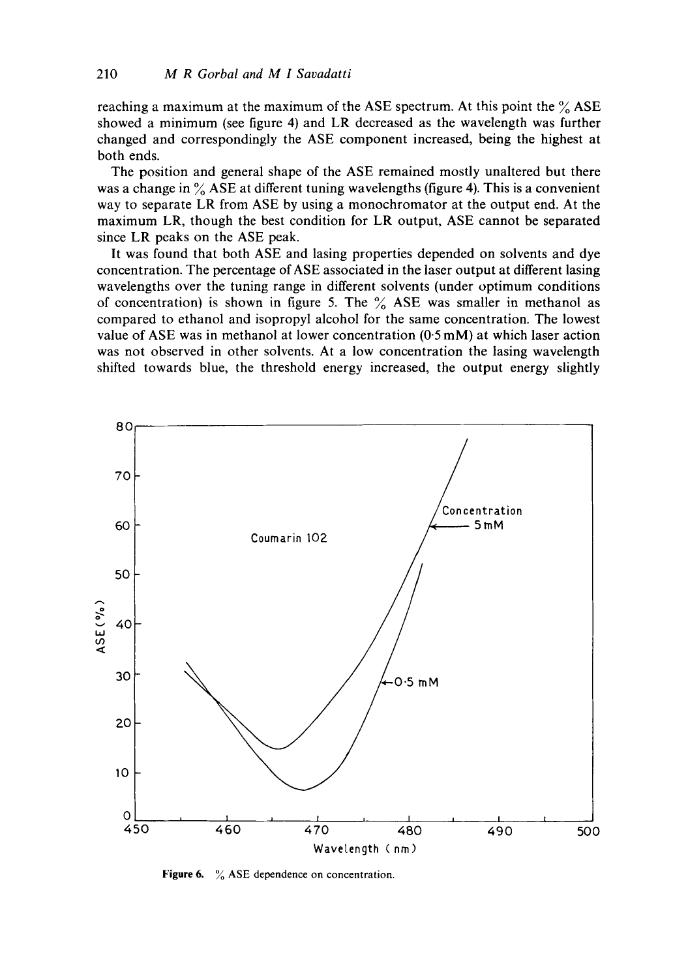reaching a maximum at the maximum of the ASE spectrum. At this point the  $\%$  ASE showed a minimum (see figure 4) and LR decreased as the wavelength was further changed and correspondingly the ASE component increased, being the highest at both ends.

The position and general shape of the ASE remained mostly unaltered but there was a change in  $\%$  ASE at different tuning wavelengths (figure 4). This is a convenient way to separate LR from ASE by using a monochromator at the output end. At the maximum LR, though the best condition for LR output, ASE cannot be separated since LR peaks on the ASE peak.

It was found that both ASE and lasing properties depended on solvents and dye concentration. The percentage of ASE associated in the laser output at different lasing wavelengths over the tuning range in different solvents (under optimum conditions of concentration) is shown in figure 5. The  $\%$  ASE was smaller in methanol as compared to ethanol and isopropyl alcohol for the same concentration. The lowest value of ASE was in methanol at lower concentration  $(0.5 \text{ mM})$  at which laser action was not observed in other solvents. At a low concentration the lasing wavelength shifted towards blue, the threshold energy increased, the output energy slightly



Figure 6. % ASE dependence on concentration.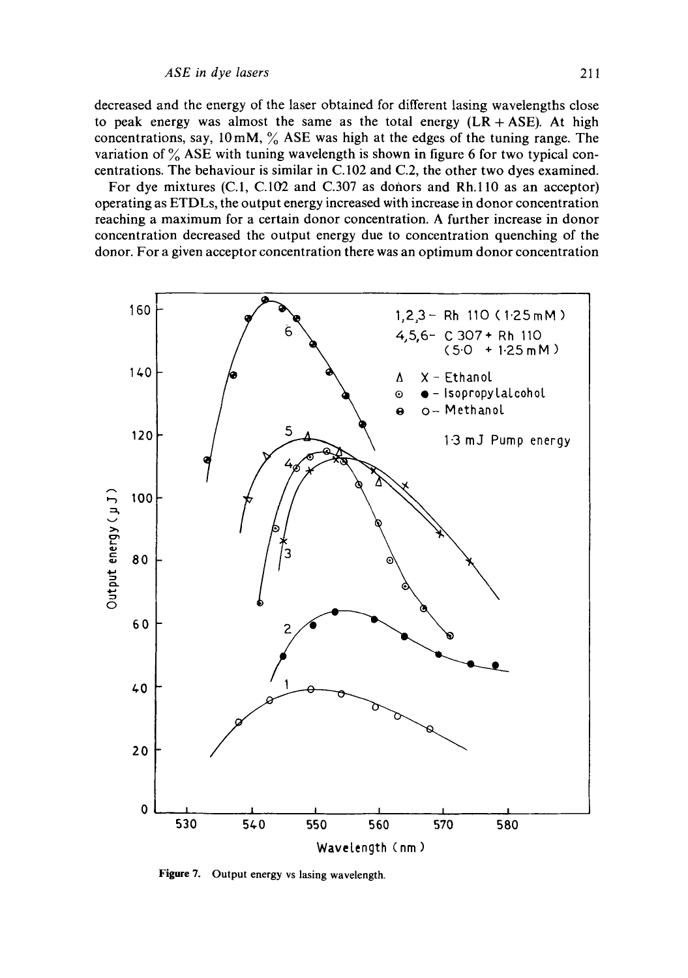decreased and the energy of the laser obtained for different lasing wavelengths close to peak energy was almost the same as the total energy  $(LR + ASE)$ . At high concentrations, say,  $10 \text{ mM}$ ,  $\frac{6}{6}$  ASE was high at the edges of the tuning range. The variation of  $\%$  ASE with tuning wavelength is shown in figure 6 for two typical concentrations. The behaviour is similar in C.102 and C.2, the other two dyes examined.

For dye mixtures  $(C.1, C.102$  and  $C.307$  as donors and Rh.110 as an acceptor) operating as ETDLs, the output energy increased with increase in donor concentration reaching a maximum for a certain donor concentration. A further increase in donor concentration decreased the output energy due to concentration quenching of the donor. For a given acceptor concentration there was an optimum donor concentration



**Figure** 7. Output energy vs lasing wavelength.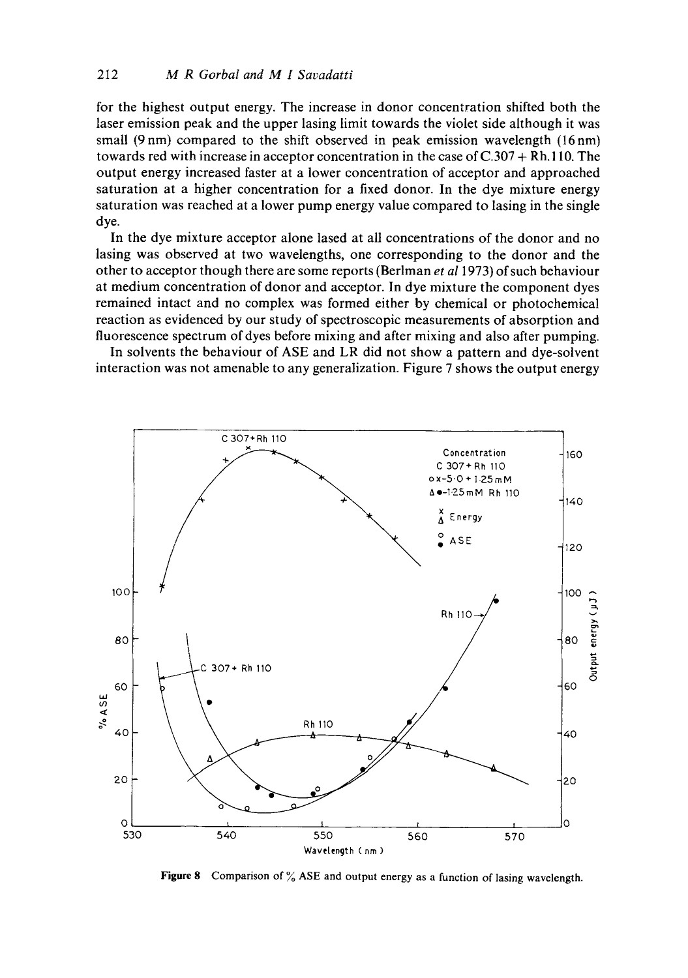for the highest output energy. The increase in donor concentration shifted both the laser emission peak and the upper lasing limit towards the violet side although it was small  $(9 \text{ nm})$  compared to the shift observed in peak emission wavelength  $(16 \text{ nm})$ towards red with increase in acceptor concentration in the case of C.307 + Rh. 110. The output energy increased faster at a lower concentration of acceptor and approached saturation at a higher concentration for a fixed donor. In the dye mixture energy saturation was reached at a lower pump energy value compared to lasing in the single dye.

In the dye mixture acceptor alone lased at all concentrations of the donor and no lasing was observed at two wavelengths, one corresponding to the donor and the other to acceptor though there are some reports (Berlman *et al* 1973) of such behaviour at medium concentration of donor and acceptor. In dye mixture the component dyes remained intact and no complex was formed either by chemical or photochemical reaction as evidenced by our study of spectroscopic measurements of absorption and fluorescence spectrum of dyes before mixing and after mixing and also after pumping.

In solvents the behaviour of ASE and LR did not show a pattern and dye-solvent interaction was not amenable to any generalization. Figure 7 shows the output energy



Figure 8 Comparison of  $\%$  ASE and output energy as a function of lasing wavelength.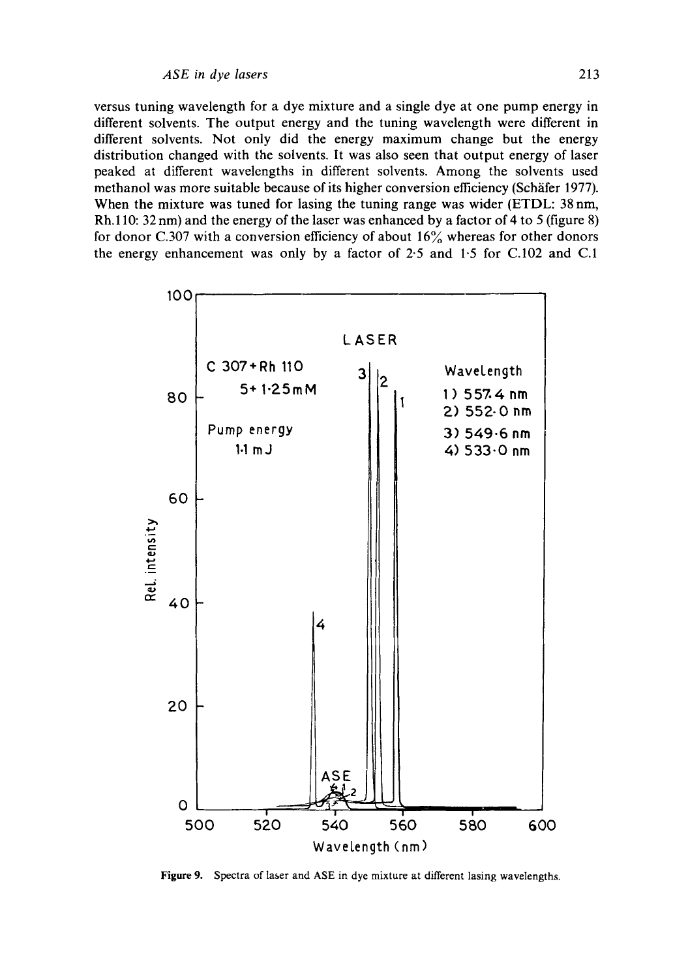versus tuning wavelength for a dye mixture and a single dye at one pump energy in different solvents. The output energy and the tuning wavelength were different in different solvents. Not only did the energy maximum change but the energy distribution changed with the solvents. It was also seen that output energy of laser peaked at different wavelengths in different solvents. Among the solvents used methanol was more suitable because of its higher conversion efficiency (Schäfer 1977). When the mixture was tuned for lasing the tuning range was wider (ETDL: 38 nm, Rh.110: 32 nm) and the energy of the laser was enhanced by a factor of 4 to 5 (figure 8) for donor C.307 with a conversion efficiency of about  $16\%$  whereas for other donors the energy enhancement was only by a factor of 2.5 and 1.5 for C.102 and C.1



Figure 9. Spectra of laser and ASE in dye mixture at different lasing wavelengths.